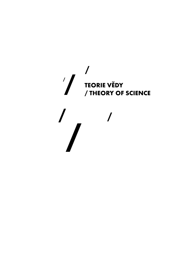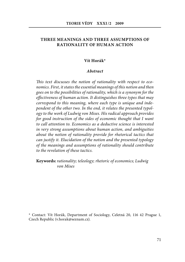# **THREE MEANINGS AND THREE ASSUMPTIONS OF RATIONALITY OF HUMAN ACTION**

#### **Vít Horák\***

#### *Abstract*

This text discusses the notion of rationality with respect to economics. First, it states the essential meanings of this notion and then goes on to the possibilities of rationality, which is a synonym for the effectiveness of human action. It distinguishes three types that may correspond to this meaning, where each type is unique and independent of the other two. In the end, it relates the presented typology to the work of Ludwig von Mises. His radical approach provides for good instruction of the sides of economic thought that I want to call attention to. Economics as a deductive science is interested in very strong assumptions about human action, and ambiguities about the notion of rationality provide for rhetorical tactics that can justify it. Elucidation of the notion and the presented typology of the meanings and assumptions of ra tionality should contribute to the revelation of these tactics.

**Keywords:** rationality; teleology; rhetoric of economics; Ludwig von Mises

\* Contact: Vít Horák, Department of Sociology, Celetná 20, 116 42 Prague 1, Czech Republic (v.horak@seznam.cz).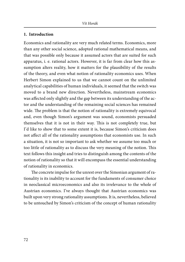## **1. Introduction**

Economics and rationality are very much related terms. Economics, more than any other social science, adopted rational mathematical means, and that was possible only because it assumed actors that are suited for such apparatus, i. e. rational actors. However, it is far from clear how this assumption alters reality, how it matters for the plausibility of the results of the theory, and even what notion of rationality economics uses. When Herbert Simon explained to us that we cannot count on the unlimited analytical capabilities of human individuals, it seemed that the switch was moved to a brand new direction. Nevertheless, mainstream economics was affected only slightly and the gap between its understanding of the actor and the understanding of the remaining social sciences has remained wide. The problem is that the notion of rationality is extremely equivocal and, even though Simon's argument was sound, economists persuaded themselves that it is not in their way. This is not completely true, but I'd like to show that to some extent it is, because Simon's criticism does not affect all of the rationality assumptions that economists use. In such a situation, it is not so important to ask whether we assume too much or too little of rationality as to discuss the very meaning of the notion. This text follows this insight and tries to distinguish among the contents of the notion of rationality so that it will encompass the essential understanding of rationality in economics.

The concrete impulse for the unrest over the Simonian argument of rationality is its inability to account for the fundaments of consumer choice in neoclassical microeconomics and also its irrelevance to the whole of Austrian economics. I've always thought that Austrian economics was built upon very strong rationality assumptions. It is, nevertheless, believed to be untouched by Simon's criticism of the concept of human rationality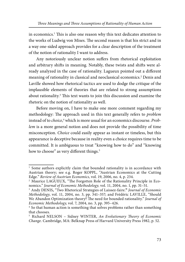in economics.<sup>1</sup> This is also one reason why this text dedicates attention to the works of Ludwig von Mises. The second reason is that his strict and in a way one-sided approach provides for a clear description of the treatment of the notion of rationality I want to address.

Any notoriously unclear notion suffers from rhetorical exploitation and arbitrary shifts in meaning. Notably, these twists and shifts were already analyzed in the case of rationality. Lagueux pointed out a different meaning of rationality in classical and neoclassical economics.2 Denis and Laville showed how rhetorical tactics are used to dodge the critique of the implausible elements of theories that are related to strong assumptions about rationality.<sup>3</sup> This text wants to join this discussion and examine the rhetoric on the notion of rationality as well.

Before moving on, I have to make one more comment regarding my methodology: The approach used in this text generally refers to *problem* instead of to *choice*,<sup>4</sup> which is more usual for an economics discourse. *Prob*lem is a more general notion and does not provide the possibility of time misconception. Choice could easily appear as instant or timeless, but this appearance is deceptive because in reality even a choice requires time to be committed. It is ambiguous to treat "knowing how to do" and "knowing how to choose" as very different things.<sup>5</sup>

<sup>&</sup>lt;sup>1</sup> Some authors explicitly claim that bounded rationality is in accordance with Austrian theory; see e.g. Roger KOPPL, "Austrian Economics at the Cutting Edge." Review of Austrian Economics, vol. 19, 2006, no. 4, p. 234.

<sup>&</sup>lt;sup>2</sup> Maurice LAGUEUX, "The Forgotten Role of the Rationality Principle in Economics." Journal of Economic Methodology, vol. 11, 2004, no. 1, pp. 31–51.

<sup>3</sup> Andy DENIS*,* "Two Rhetorical Strategies of Laissez-faire.**"** Journal of Economic Methodology, vol. 11, 2004, no. 3, pp. 341–357; and Frédéric LAVILLE, "Should We Abandon Optimization theory? The need for bounded rationality." Journal of Economic Methodology, vol. 7, 2004, no. 3, pp. 395–426.

<sup>&</sup>lt;sup>4</sup> So that human action is something that solves problems rather than something that chooses.

<sup>&</sup>lt;sup>5</sup> Richard NELSON – Sidney WINTER, An Evolutionary Theory of Economic Change. Cambridge, MA: Belknap Press of Harvard University Press 1982, p. 52.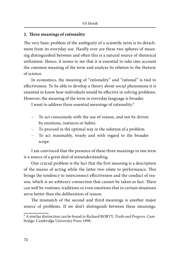## **2. Th ree meanings of rationality**

The very basic problem of the ambiguity of a scientific term is its detachment from its everyday use. Hardly ever are these two spheres of meaning distinguished between and often this is a natural source of rhetorical utilization. Hence, it seems to me that it is essential to take into account the common meaning of the term and analyze its relation to the rhetoric of science.

In economics, the meaning of "rationality" and "rational" is tied to effectiveness. To be able to develop a theory about social phenomena it is essential to know how individuals would be effective in solving problems. However, the meaning of the term in everyday language is broader.

I want to address three essential meanings of rationality.6

- To act consciously with the use of reason, and not be driven by emotions, instincts or habits.
- To proceed in the optimal way in the solution of a problem.
- To act reasonably, wisely and with regard to the broader scope.

I am convinced that the presence of these three meanings in one term is a source of a great deal of misunderstanding.

One crucial problem is the fact that the first meaning is a description of the means of acting while the latter two relate to performance. This brings the tendency to interconnect effectiveness and the conduct of reason, which is an arbitrary connection that cannot be taken as fact. There can well be routines, traditions or even emotions that in certain situations serve better than the deliberation of reason.

The mismatch of the second and third meanings is another major source of problems. If we don't distinguish between these meanings,

<sup>6</sup> A similar distinction can be found in Richard RORTY, Truth and Progress. Cambridge: Cambridge University Press 1998.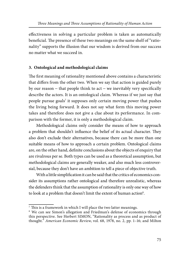effectiveness in solving a particular problem is taken as automatically beneficial. The presence of these two meanings on the same shelf of "rationality" supports the illusion that our wisdom is derived from our success no matter what we succeed in.

# **3. Ontological and methodological claims**

The first meaning of rationality mentioned above contains a characteristic that differs from the other two. When we say that action is guided purely by our reason  $-$  that people think to act  $-$  we inevitably very specifically describe the actors. It is an ontological claim. Whereas if we just say that people pursue goals<sup>7</sup> it supposes only certain moving power that pushes the living being forward. It does not say what form this moving power takes and therefore does not give a clue about its performance. In comparison with the former, it is only a methodological claim.

Methodological claims only consider the means of how to approach a problem that shouldn't influence the belief of its actual character. They also don't exclude their alternatives, because there can be more than one suitable means of how to approach a certain problem. Ontological claims are, on the other hand, definite conclusions about the objects of enquiry that are rivalrous per se. Both types can be used as a theoretical assumption, but methodological claims are generally weaker, and also much less controversial, because they don't have an ambition to tell a piece of objective truth.

With a little simplification it can be said that the critics of economics consider its assumptions rather ontological and therefore unrealistic, whereas the defenders think that the assumption of rationality is only one way of how to look at a problem that doesn't limit the extent of human action<sup>8</sup>.

 $7$  This is a framework in which I will place the two latter meanings.

<sup>&</sup>lt;sup>8</sup> We can see Simon's allegation and Friedman's defense of economics through this perspective. See Herbert SIMON, "Rationality as process and as product of thought." American Economic Review, vol. 68, 1978, no. 2, pp. 1–16; and Milton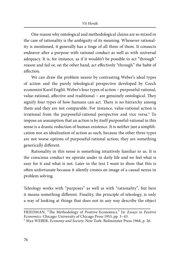One reason why ontological and methodological claims are so mixed in the case of rationality is the ambiguity of its meaning. Whenever rationality is mentioned, it generally has a tinge of all three of them. It connects endeavor after a purpose with rational conduct as well as with universal adequacy. It is, for instance, as if it wouldn't be possible to act "through" reason and fail or, on the other hand, act effectively "through" the habit of affection

We can draw the problem nearer by contrasting Weber's ideal types of action and the purely teleological perspective developed by Czech economist Karel Engliš. Weber's four types of action − purposeful-rational, value-rational, affective and traditional – are genuinely ontological. They signify four types of how humans can act. There is no hierarchy among them and they are not comparable. For instance, value-rational action is irrational from the purposeful-rational perspective and vice versa.<sup>9</sup> To impose an assumption that an action is by itself purposeful-rational in this sense is a drastic reduction of human existence. It is neither just a simplification nor an idealization of action as such, because the other three types are not worse options of purposeful-rational action; they are something generically different.

Rationality in this sense is something intuitively familiar to us. It is the conscious conduct we operate under in daily life and we feel what is easy for it and what is not. Later in the text I want to show that this is often unfortunate because it silently creates an image of a causal nexus in problem solving.

Teleology works with "purposes" as well as with "rationality", but here it means something different. Finality, the principle of teleology, is only a way of looking at things that does not in any way describe the object

FRIEDMAN, "The Methodology of Positive Economics." In: Essays in Positive Economics. Chicago: University of Chicago Press 1953, pp. 3–43.

<sup>9</sup> Max WEBER, Economy and Society. New York: Bedminster Press 1968, p. 26.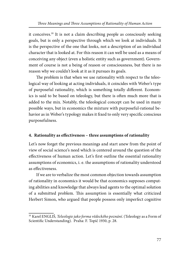it conceives.10 It is not a claim describing people as consciously seeking goals, but is only a perspective through which we look at individuals. It is the perspective of the one that looks, not a description of an individual character that is looked at. For this reason it can well be used as a means of conceiving any object (even a holistic entity such as government). Government of course is not a being of reason or consciousness, but there is no reason why we couldn't look at it as it pursues its goals.

The problem is that when we use rationality with respect to the teleological way of looking at acting individuals, it coincides with Weber's type of purposeful rationality, which is something totally different. Economics is said to be based on teleology, but there is often much more that is added to the mix. Notably, the teleological concept can be used in many possible ways, but in economics the mixture with purposeful-rational behavior as in Weber's typology makes it fixed to only very specific conscious purposefulness.

# **4. Rationality as effectiveness – three assumptions of rationality**

Let's now forget the previous meanings and start anew from the point of view of social science's need which is centered around the question of the effectiveness of human action. Let's first outline the essential rationality assump tions of economics, i. e. the assumptions of rationality understood as effectiveness

If we are to verbalize the most common objection towards assumption of rationality in economics it would be that economics supposes computing abilities and knowledge that always lead agents to the optimal solution of a submitted problem. This assumption is essentially what criticized Herbert Simon, who argued that people possess only imperfect cognitive

<sup>&</sup>lt;sup>10</sup> Karel ENGLIŠ, Teleologie jako forma vědeckého poznání. (Teleology as a Form of Scientific Understanding). Praha: F. Topič 1930, p. 28.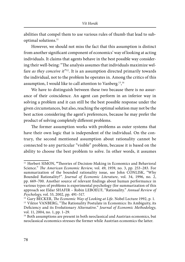abilities that compel them to use various rules of thumb that lead to suboptimal solutions.11

However, we should not miss the fact that this assumption is distinct from another significant component of economics' way of looking at acting individuals. It claims that agents behave in the best possible way considering their well-being: "The analysis assumes that individuals maximize welfare as they conceive it"<sup>12</sup>. It is an assumption directed primarily towards the individual, not to the problem he operates in. Among the critics of this assumption, I would like to call attention to Vanberg.<sup>13</sup>,<sup>14</sup>

We have to distinguish between these two because there is no assurance of their coincidence. An agent can perform in an inferior way in solving a problem and it can still be the best possible response under the given circumstances, but also, reaching the optimal solution may not be the best action considering the agent's preferences, because he may prefer the product of solving completely different problems.

The former assumption works with problems as outer systems that have their own logic that is independent of the individual. On the contrary, the second mentioned assumption about rationality cannot be connected to any particular "visible" problem, because it is based on the ability to choose the best problem to solve. In other words, it assumes

<sup>&</sup>lt;sup>11</sup> Herbert SIMON, "Theories of Decision-Making in Economics and Behavioral Science." The American Economic Review, vol. 49, 1959, no. 3, pp. 253-283. For summarization of the bounded rationality issue, see John CONLISK, "Why Bounded Rationality?". Journal of Economic Literature, vol. 34, 1996, no. 2, pp. 669–700. Another source of relevant findings about human performance in various types of problems is experimental psychology (for summarization of this approach see Eldar SHAFIR – Robin LEBOEUF, "Rationality." Annual Review of Psychology, vol. 53, 2002, pp. 491–517.

 $12$  Gary BECKER, The Economic Way of Looking at Life. Nobel Lecture 1992, p. 1. <sup>13</sup> Viktor VANBERG, "The Rationality Postulate in Economics: Its Ambiguity, its Deficiency and its Evolutionary Alternative." Journal of Economic Methodology, vol. 11, 2004, no. 1, pp. 1–29.

<sup>14</sup> Both assumptions are present in both neoclassical and Austrian economics, but neoclassical economics stresses the former while Austrian economics the latter.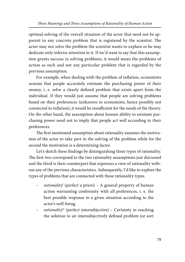optimal solving of the overall situation of the actor that need not be apparent in any concrete problem that is registered by the scientist. The actor may not solve the problem the scientist wants to explain or he may dedicate only inferior attention to it. If we'd want to say that this assumption grants success in solving problems, it would mean the problems of action as such and not any particular problem that is regarded by the previous assumption.

For example, when dealing with the problem of inflation, economists assume that people accurately estimate the purchasing power of their money, i. e. solve a clearly defined problem that exists apart from the individual. If they would just assume that people are solving problems based on their preferences (unknown to economists, hence possibly not connected to inflation), it would be insufficient for the needs of the theory. On the other hand, the assumption about human ability to estimate purchasing power need not to imply that people act well according to their preferences.

The first mentioned assumption about rationality assumes the motivation of the actor to take part in the solving of the problem while for the second the motivation is a determining factor.

Let's sketch these findings by distinguishing three types of rationality. The first two correspond to the two rationality assumptions just discussed and the third is their counterpart that expresses a view of rationality without any of the previous characteristics. Subsequently, I'd like to explore the types of problems that are connected with these rationality types.

- rationality<sup>I</sup> (perfect a priori) A general property of human action warranting conformity with all preferences, i. e. the best possible response to a given situation according to the actor's well-being.
- rationality<sup>II</sup> (perfect intersubjective) Certainty in reaching the solution to an intersubjectively defined problem (or sort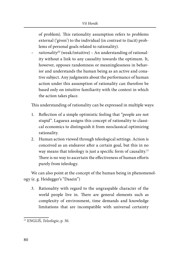of problem). This rationality assumption refers to problems ex ternal ('given') to the individual (in contrast to (tacit) problems of personal goals related to rationality).

 $rationality^{III}$  (weak/intuitive) – An understanding of rationality without a link to any causality towards the optimum. It, however, opposes randomness or meaninglessness in behavior and understands the human being as an active and conative subject. Any judgments about the performance of human action under this assumption of rationality can therefore be based only on intuitive familiarity with the context in which the action takes place.

This understanding of rationality can be expressed in multiple ways:

- 1. Reflection of a simple optimistic feeling that "people are not stupid". Lagueux assigns this concept of rationality to classical economics to distinguish it from neoclassical optimizing rationality.
- 2. Human action viewed through teleological settings. Action is conceived as an endeavor after a certain goal, but this in no way means that teleology is just a specific form of causality.<sup>15</sup> There is no way to ascertain the effectiveness of human efforts purely from teleology.

We can also point at the concept of the human being in phenomenology (e. g. Heidegger's "Dasein")

3. Rationality with regard to the ungraspable character of the world people live in. There are general elements such as complexity of environment, time demands and knowledge limitations that are incompatible with universal certainty

<sup>15</sup> ENGLIŠ, Teleologie, p. 30.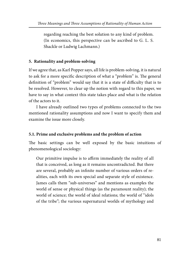regarding reaching the best solution to any kind of problem. (In economics, this perspective can be ascribed to G. L. S. Shackle or Ludwig Lachmann.)

# **5. Rationality and problem-solving**

If we agree that, as Karl Popper says, all life is problem-solving, it is natural to ask for a more specific description of what a "problem" is. The general definition of "problem" would say that it is a state of difficulty that is to be resolved. However, to clear up the notion with regard to this paper, we have to say in what context this state takes place and what is the relation of the actors to it.

I have already outlined two types of problems connected to the two mentioned rationality assumptions and now I want to specify them and examine the issue more closely.

# **5.1. Prime and exclusive problems and the problem of action**

The basic settings can be well exposed by the basic intuitions of phenomenological sociology:

Our primitive impulse is to affirm immediately the reality of all that is conceived, as long as it remains uncontradicted. But there are several, probably an infinite number of various orders of realities, each with its own special and separate style of existence. James calls them "sub-universes" and mentions as examples the world of sense or physical things (as the paramount reality); the world of science; the world of ideal relations; the world of "idols of the tribe"; the various supernatural worlds of mythology and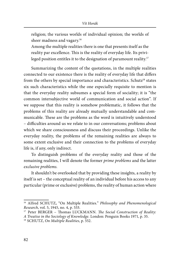religion; the various worlds of individual opinion; the worlds of sheer madness and vagary.<sup>16</sup>

Among the multiple realities there is one that presents itself as the reality par excellence. This is the reality of everyday life. Its privileged position entitles it to the designation of paramount reality.<sup>17</sup>

Summarizing the content of the quotations, in the multiple realities connected to our existence there is the reality of everyday life that differs from the others by special importance and characteristics. Schutz<sup>18</sup> states six such characteristics while the one especially requisite to mention is that the everyday reality subsumes a special form of sociality; it is "the common intersubjective world of communication and social action". If we suppose that this reality is somehow problematic, it follows that the problems of this reality are already mutually understandable and communicable. These are the problems as the word is intuitively understood – difficulties around us we relate to in our conversations; problems about which we share consciousness and discuss their proceedings. Unlike the everyday reality, the problems of the remaining realities are always to some extent exclusive and their connection to the problems of everyday life is, if any, only indirect.

To distinguish problems of the everyday reality and those of the remaining realities, I will denote the former *prime problems* and the latter exclusive problems.

It shouldn't be overlooked that by providing these insights, a reality by itself is set – the conceptual reality of an individual before his access to any particular (prime or exclusive) problems, the reality of human action where

<sup>&</sup>lt;sup>16</sup> Alfred SCHUTZ, "On Multiple Realities." Philosophy and Phenomenological Research, vol. 5, 1945, no. 4, p. 533.

<sup>&</sup>lt;sup>17</sup> Peter BERGER – Thomas LUCKMANN. The Social Construction of Reality:

A Treatise in the Sociology of Knowledge. London: Penguin Books 1971, p. 35.

<sup>18</sup> SCHUTZ, On Multiple Realities, p. 552.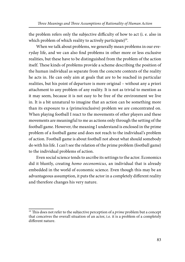the problem refers only the subjective difficulty of how to act (i. e. also in which problem of which reality to actively participate)<sup>19</sup>.

When we talk about problems, we generally mean problems in our everyday life, and we can also find problems in other more or less exclusive realities, but these have to be distinguished from the problem of the action itself. These kinds of problems provide a scheme describing the position of the human individual as separate from the concrete contexts of the reality he acts in. He can only aim at goals that are to be reached in particular realities, but his point of departure is more original – without any a priori attachment to any problem of any reality. It is not as trivial to mention as it may seem, because it is not easy to be free of the environment we live in. It is a bit unnatural to imagine that an action can be something more than its exposure to a (prime/exclusive) problem we are concentrated on. When playing football I react to the movements of other players and these movements are meaningful to me as actions only through the setting of the football game. However, the meaning I understand is enclosed in the prime problem of a football game and does not reach to the individual's problem of action. Football game is about football not about what should somebody do with his life. I can't see the relation of the prime problem (football game) to the individual problems of action.

Even social science tends to ascribe its settings to the actor. Economics did it bluntly, creating homo oeconomicus, an individual that is already em bedded in the world of economic science. Even though this may be an advantageous assumption, it puts the actor in a completely different reality and therefore changes his very nature.

 $19$  This does not refer to the subjective perception of a *prime* problem but a concept that conceives the overall situation of an actor, i.e. it is a problem of a completely different nature.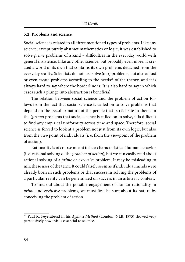#### **5.2. Problems and science**

Social science is related to all three mentioned types of problems. Like any science, except purely abstract mathematics or logic, it was established to solve prime problems of a kind - difficulties in the everyday world with general insistence. Like any other science, but probably even more, it created a world of its own that contains its own problems detached from the everyday reality. Scientists do not just solve (our) problems, but also adjust or even create problems according to the needs<sup>20</sup> of the theory, and it is always hard to say where the borderline is. It is also hard to say in which cases such a plunge into abstraction is beneficial.

The relation between social science and the problem of action follows from the fact that social science is called on to solve problems that depend on the peculiar nature of the people that participate in them. In the (*prime*) problems that social science is called on to solve, it is difficult to find any empirical uniformity across time and space. Therefore, social science is forced to look at a problem not just from its own logic, but also from the viewpoint of individuals (i. e. from the viewpoint of the problem of action).

Rationality is of course meant to be a characteristic of human behavior (i. e. rational solving of the problem of action), but we can easily read about rational solving of a prime or exclusive problem. It may be misleading to mix these uses of the term. It could falsely seem as if individual minds were already born in such problems or that success in solving the problems of a particular reality can be generalized on success in an arbitrary context.

To find out about the possible engagement of human rationality in prime and exclusive problems, we must first be sure about its nature by conceiving the problem of action.

<sup>&</sup>lt;sup>20</sup> Paul K. Feyerabend in his Against Method (London: NLB, 1975) showed very persuasively how this is essential to science.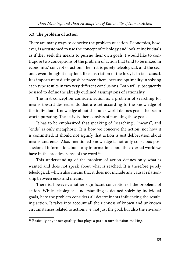## **5.3. The problem of action**

There are many ways to conceive the problem of action. Economics, however, is accustomed to use the concept of teleology and look at individuals as if they seek the means to pursue their own goals. I would like to contrapose two conceptions of the problem of action that tend to be mixed in economics' concept of action. The first is purely teleological, and the second, even though it may look like a variation of the first, is in fact causal. It is important to distinguish between them, because optimality in solving each type results in two very different conclusions. Both will subsequently be used to define the already outlined assumptions of rationality.

The first conception considers action as a problem of searching for means toward desired ends that are set according to the knowledge of the individual. Knowledge about the outer world defines goals that seem worth pursuing. The activity then consists of pursuing these goals.

It has to be emphasized that speaking of "searching", "means", and "ends" is only metaphoric. It is how we conceive the action, not how it is committed. It should not signify that action is just deliberation about means and ends. Also, mentioned knowledge is not only conscious possession of information, but is any information about the external world we have in the broadest sense of the word.<sup>21</sup>

This understanding of the problem of action defines only what is wanted and does not speak about what is reached. It is therefore purely teleological, which also means that it does not include any causal relationship between ends and means.

There is, however, another significant conception of the problems of action. While teleological understanding is defined solely by individual goals, here the problem considers all determinants influencing the resulting action. It takes into account all the richness of known and unknown circumstances related to action, i. e. not just the goal, but also the environ-

 $21$  Basically any inner quality that plays a part in our decision-making.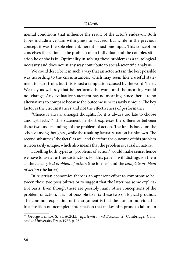#### Vít Horák

mental conditions that influence the result of the actor's endeavor. Both types include a certain willingness to succeed, but while in the previous concept it was the sole element, here it is just one input. This conception conceives the action as the problem of an individual and the complex situation he or she is in. Optimality in solving these problems is a tautological necessity and does not in any way contribute to social-scientific analysis.

We could describe it in such a way that an actor acts in the best possible way according to the circumstances, which may seem like a useful statement to start from, but this is just a temptation caused by the word "best". We may as well say that he performs the worst and the meaning would not change. Any evaluative statement has no meaning, since there are no alternatives to compare because the outcome is necessarily unique. The key factor is the circum stances and not the effectiveness of performance.

"Choice is always amongst thoughts, for it is always too late to choose amongst facts."<sup>22</sup> This statement in short expresses the difference between these two understandings of the problem of action. The first is based on the "choice among thoughts", while the resulting factual situation is unknown. The second subsumes "the facts" as well and therefore the outcome of this problem is necessarily unique, which also means that the problem is causal in nature.

Labelling both types as "problems of action" would make sense; hence we have to use a further distinction. For this paper I will distinguish them as the teleological problem of action (the former) and the complete problem of action (the latter).

In Austrian economics there is an apparent effort to compromise between these two possibilities or to suggest that the latter has some explicative basis. Even though there are possibly many other conceptions of the problem of action, it is not possible to mix these two on logical grounds. The common exposition of the argument is that the human individual is in a position of incomplete information that makes him prone to failure in

<sup>&</sup>lt;sup>22</sup> George Lennox S. SHACKLE, Epistemics and Economics. Cambridge: Cambridge University Press 1977, p. 280.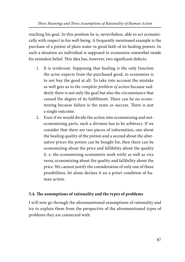reaching his goal. In this position he is, nevertheless, able to act economically with respect to his well-being. A frequently mentioned example is the purchase of a potion of plain water in good faith of its healing powers. In such a situation an individual is supposed to economize somewhat inside his mistaken belief. This idea has, however, two significant defects:

- 1. It is irrelevant. Supposing that healing is the only function the actor expects from the purchased good, to economize is to not buy the good at all. To take into account the mistake as well gets us to the complete problem of action because suddenly there is not only the goal but also the circumstance that caused the degree of its fulfillment. There can be no economizing because failure is the same as success. There is just a single outcome.
- 2. Even if we would divide the action into economizing and noteconomizing parts, such a division has to be arbitrary. If we consider that there are two pieces of information, one about the healing quality of the potion and a second about the alternative prices the potion can be bought for, then there can be economizing about the price and fallibility about the quality (i. e. the economizing economists work with) as well as vice versa, economizing about the quality and fallibility about the price. We cannot justify the consideration of only one of these possibilities, let alone declare it an a priori condition of human action.

# **5.4. The assumptions of rationality and the types of problems**

I will now go through the aforementioned assumptions of rationality and try to explain them from the perspective of the aforementioned types of problems they are connected with.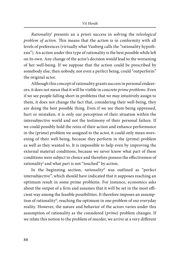Rationality<sup>I</sup> presents an a priori success in solving the teleological problem of action. This means that the action is in conformity with all levels of preferences (virtually what Vanberg calls the "rationality hypothesis"). An action under this type of rationality is the best possible while left on its own. Any change of the actor's decision would lead to the worsening of her well-being. If we suppose that the action could be prescribed by somebody else, then nobody, not even a perfect being, could "outperform" the original actor.

Although this concept of rationality grants success in personal endeavors, it does not mean that it will be visible in concrete prime problems. Even if we see people falling short in problems that we may intuitively assign to them, it does not change the fact that, considering their well-being, they are doing the best possible thing. Even if we see them being oppressed, hurt or mistaken, it is only our perception of their situation within the intersubjective world and not the testimony of their personal failure. If we could possibly hold the reins of their action and enhance performance in the (prime) problem we assigned to the actor, it could only mean worsening of their well-being, because they perform in the (prime) problem as well as they wanted to. It is impossible to help even by improving the external material conditions, because we never know what part of these conditions were subject to choice and therefore possess the effectiveness of rationality<sup>I</sup> and what part is not "touched" by action.

In the beginning section, *rationality*<sup> $II$ </sup> was outlined as "perfect intersubjective", which should have indicated that it supposes reaching an optimum result in some prime problems. For instance, economics asks about the output of a firm and assumes that it will be set in the most efficient way among the feasible possibilities. It therefore imposes an assumption of rationality<sup>II</sup>, reaching the optimum in one problem of our everyday reality. However, the nature and behavior of the actors varies under this assumption of rationality as the considered (prime) problem changes. If we relate this notion to the problem of murder, we arrive at a very different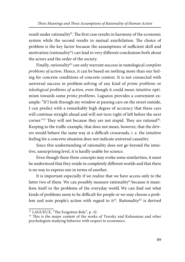result under rationality<sup>II</sup>. The first case results in harmony of the economic system while the second results in mutual annihilation. The choice of problem is the key factor because the assumptions of sufficient skill and motivation (rationality<sup>II</sup>) can lead to very different conclusions both about the actors and the order of the society.

Finally, *rationality*<sup>III</sup> can only warrant success in tautological *complete* problems of action. Hence, it can be based on nothing more than our feeling for concrete conditions of concrete context. It is not connected with universal success in problem-solving of any kind of prime problems or teleological problems of action, even though it could mean intuitive optimism towards some prime problems. Lagueux provides a convenient example: "If I look through my window at passing cars on the street outside, I can predict with a remarkably high degree of accuracy that these cars will continue straight ahead and will not turn right of left before the next corner."<sup>23</sup> They will not because they are not stupid. They are rational<sup>III</sup>. Keeping to the traffic example, that does not mean, however, that the drivers would behave the same way at a difficult crossroads, i. e. the intuitive feeling for a concrete situation does not indicate universal causality.

Since this understanding of rationality does not go beyond the intuitive, unsurprising level, it is hardly usable for science.

Even though these three concepts may evoke some similarities, it must be understood that they reside in completely different worlds and that there is no way to express one in terms of another.

It is important especially if we realize that we have access only to the latter two of them. We can possibly measure rationality<sup>II</sup> because it manifests itself in the problems of the everyday world. We can find out what kinds of problems seem to be difficult for people or we may choose a problem and note people's action with regard to it<sup>24</sup>. Rationality<sup>III</sup> is derived

<sup>&</sup>lt;sup>23</sup> LAGUEUX, "The Forgotten Role", p. 32.

<sup>&</sup>lt;sup>24</sup> This is the major content of the works of Tversky and Kahneman and other psychologists studying behavior with respect to economics.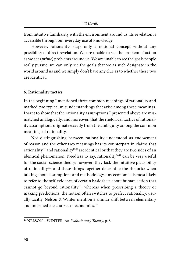from intuitive familiarity with the environment around us. Its revelation is accessible through our everyday use of knowledge.

However, rationality<sup>1</sup> stays only a notional concept without any possibility of direct revelation. We are unable to see the problem of action as we see (prime) problems around us. We are unable to see the goals people really pursue; we can only see the goals that we as such designate in the world around us and we simply don't have any clue as to whether these two are identical.

#### **6. Rationality tactics**

In the beginning I mentioned three common meanings of rationality and marked two typical misunderstandings that arise among these meanings. I want to show that the rationality assumptions I presented above are mismatched analogically, and moreover, that the rhetorical tactics of rationality assumptions originate exactly from the ambiguity among the common meanings of rationality.

Not distinguishing between rationality understood as endowment of reason and the other two meanings has its counterpart in claims that rationality<sup>III</sup> and rationality<sup>I&II</sup> are identical or that they are two sides of an identical phenomenon. Needless to say, rationality<sup>1&II</sup> can be very useful for the social-science theory; however, they lack the intuitive plausibility of rationality<sup>III</sup>, and these things together determine the rhetoric: when talking about assumptions and methodology, any economist is most likely to refer to the self-evidence of certain basic facts about human action that cannot go beyond rationality<sup>III</sup>, whereas when prescribing a theory or making predictions, the notion often switches to perfect rationality, usually tacitly. Nelson & Winter mention a similar shift between elementary and intermediate courses of economics. $25$ 

 $25$  NELSON – WINTER, An Evolutionary Theory, p. 8.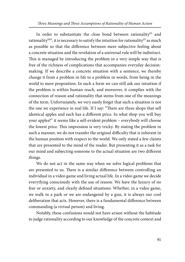Three Meanings and Three Assumptions of Rationality of Human Action

In order to substantiate the close bond between rationality<sup>III</sup> and rationality<sup>I&II</sup>, it is necessary to satisfy the intuition for rationality<sup>III</sup> as much as possible so that the difference between mere subjective feeling about a concrete situation and the revelation of a universal rule will be indistinct. This is managed by introducing the problem in a very simple way that is free of the richness of complications that accompanies everyday decisionmaking. If we describe a concrete situation with a sentence, we thereby change it from a problem in life to a problem in words, from being in the world to mere proposition. In such a form we can still ask our intuition if the problem is within human reach, and moreover, it complies with the connection of reason and rationality that stems from one of the meanings of the term. Unfortunately, we very easily forget that such a situation is not the one we experience in real life. If I say: "There are three shops that sell identical apples and each has a different price. In what shop you will buy your apples?" it seems like a self-evident problem – everybody will choose the lowest price. This impression is very tricky. By stating the problem in such a manner, we do not transfer the original difficulty that is inherent in the human position with respect to the world. We only stated a few claims that are presented to the mind of the reader. But presenting it as a task for our mind and subjecting someone to the actual situation are two different things.

We do not act in the same way when we solve logical problems that are presented to us. There is a similar difference between controlling an individual in a video game and living actual life. In a video game we decide everything consciously with the use of reason. We have the luxury of no fear or anxiety, and clearly defined situations. Whether, in a video game, we walk in a park or we are endangered by a gun, it is always our cool deliberation that acts. However, there is a fundamental difference between commanding (a virtual person) and living.

Notably, these confusions would not have arisen without the habitude to judge rationality according to our knowledge of the concrete context and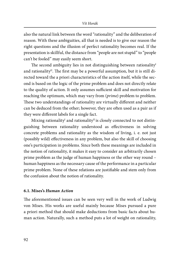also the natural link between the word "rationality" and the deliberation of reason. With these ambiguities, all that is needed is to give our reason the right questions and the illusion of perfect rationality becomes real. If the presentation is skillful, the distance from "people are not stupid" to "people can't be fooled" may easily seem short.

The second ambiguity lies in not distinguishing between rationality<sup>I</sup> and rationality<sup>II</sup>. The first may be a powerful assumption, but it is still directed toward the a priori characteristics of the action itself, while the second is based on the logic of the prime problem and does not directly relate to the quality of action. It only assumes sufficient skill and motivation for reaching the optimum, which may vary from (prime) problem to problem. These two understandings of rationality are virtually different and neither can be deduced from the other; however, they are often used as a pair as if they were different labels for a single fact.

Mixing rationality $^{\text{I}}$  and rationality $^{\text{II}}$  is closely connected to not distinguishing between rationality understood as effectiveness in solving concrete problems and rationality as the wisdom of living, i. e. not just (possibly wild) effectiveness in any problem, but also the skill of choosing one's participation in problems. Since both these meanings are included in the notion of rationality, it makes it easy to consider an arbitrarily chosen prime problem as the judge of human happiness or the other way round – human happiness as the necessary cause of the performance in a particular prime problem. None of these relations are justifiable and stem only from the confusion about the notion of rationality.

# **6.1. Mises's** *Human Action*

The aforementioned issues can be seen very well in the work of Ludwig von Mises. His works are useful mainly because Mises pursued a pure a priori method that should make deductions from basic facts about human action. Naturally, such a method puts a lot of weight on rationality,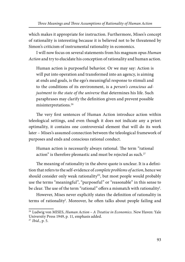which makes it appropriate for instruction. Furthermore, Mises's concept of rationality is interesting because it is believed not to be threatened by Simon's criticism of instrumental rationality in economics.

I will now focus on several statements from his magnum opus Human Action and try to elucidate his conception of rationality and human action.

Human action is purposeful behavior. Or we may say: Action is will put into operation and transformed into an agency, is aiming at ends and goals, is the ego's meaningful response to stimuli and to the conditions of its environment, is a person's conscious adjustment to the state of the universe that determines his life. Such paraphrases may clarify the definition given and prevent possible misinterpretations.26

The very first sentences of Human Action introduce action within teleological settings, and even though it does not indicate any a priori optimality, it contains one controversial element that will do its work later - Mises's assumed connection between the teleological framework of purposes and ends and conscious rational conduct.

Human action is necessarily always rational. The term "rational action" is therefore pleonastic and must be rejected as such.<sup>27</sup>

The meaning of rationality in the above quote is unclear. It is a definition that refers to the self-evidence of complete problems of action, hence we should consider only weak rationality<sup>III</sup>, but most people would probably use the terms "meaningful", "purposeful" or "reasonable" in this sense to be clear. The use of the term "rational" offers a mismatch with rationality<sup>1</sup>.

However, Mises never explicitly states the definition of rationality in terms of rationality<sup>I</sup>. Moreover, he often talks about people failing and

<sup>&</sup>lt;sup>26</sup> Ludwig von MISES, *Human Action – A Treatise in Economics*. New Haven: Yale University Press 1949, p. 11, emphasis added.

<sup>27</sup>Ibid., p. 5.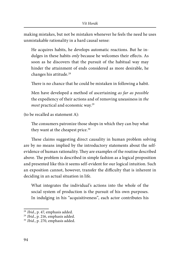making mistakes, but not be mistaken whenever he feels the need he uses unmistak able rationality in a hard causal sense:

He acquires habits, he develops automatic reactions. But he indulges in these habits *only* because he welcomes their effects. As soon as he discovers that the pursuit of the habitual way may hin der the attainment of ends considered as more desirable, he changes his attitude.28

There is no chance that he could be mistaken in following a habit.

Men have developed a method of ascertaining as far as possible the expediency of their actions and of removing uneasiness in the most practical and economic way.29

(to be recalled as statement A):

The consumers patronize those shops in which they can buy what they want at the cheapest price.<sup>30</sup>

These claims suggesting direct causality in human problem solving are by no means implied by the introductory statements about the selfevidence of human rationality. They are examples of the routine described above. The problem is described in simple fashion as a logical proposition and presented like this it seems self-evident for our logical intuition. Such an exposition cannot, however, transfer the difficulty that is inherent in deciding in an actual situation in life.

What integrates the individual's actions into the whole of the social system of production is the pursuit of his own purposes. In indulging in his "acquisitiveness", each actor contributes his

<sup>&</sup>lt;sup>28</sup> Ibid., p. 47, emphasis added.

 $29$  Ibid., p. 216, emphasis added.

<sup>&</sup>lt;sup>30</sup> Ibid., p. 270, emphasis added.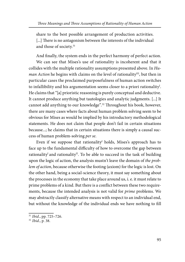share to the best possible arrangement of production activities. [...] There is no antagonism between the interests of the individual and those of society.<sup>31</sup>

And finally, the system ends in the perfect harmony of perfect action.

We can see that Mises's use of rationality is incoherent and that it collides with the multiple rationality assumptions presented above. In  $Hu$ man Action he begins with claims on the level of rationality<sup>III</sup>, but then in particular cases the proclaimed purposefulness of human action switches to infallibility and his argumentation seems closer to a priori rationality!. He claims that "[a] prioristic reasoning is purely conceptual and deductive. It cannot produce anything but tautologies and analytic judgments. [...] It cannot add anything to our knowledge".<sup>32</sup> Throughout his book, however, there are many cases where facts about human problem solving seem to be obvious for Mises as would be implied by his introductory methodological statements. He does not claim that people don't fail in certain situations because...; he claims that in certain situations there is simply a causal success of human problem-solving per se.

Even if we suppose that rationality $^{\rm I}$  holds, Mises's approach has to face up to the fundamental difficulty of how to overcome the gap between rationality<sup>I</sup> and rationality<sup>II</sup>. To be able to succeed in the task of building upon the logic of action, the analysis mustn't leave the domain of the problem of action, because otherwise the footing (axiom) for the logic is lost. On the other hand, being a social-science theory, it must say something about the processes in the economy that take place around us, i. e. it must relate to prime problems of a kind. But there is a conflict between these two requirements, because the intended analysis is not valid for prime problems. We may abstractly classify alternative means with respect to an individual end, but without the knowledge of the individual ends we have nothing to fill

<sup>&</sup>lt;sup>31</sup> Ibid., pp. 725-726.

<sup>32</sup>Ibid., p. 38.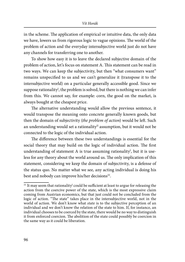in the scheme. The application of empirical or intuitive data, the only data we have, lowers us from rigorous logic to vague opinions. The world of the problem of action and the everyday intersubjective world just do not have any channels for transferring one to another.

To show how easy it is to leave the declared subjective domain of the problem of action, let's focus on statement A. This statement can be read in two ways. We can keep the subjectivity, but then "what consumers want" remains unspecified to us and we can't generalize it (transpose it to the inter subjective world) on a particular generally accessible good. Since we suppose rationality<sup>1</sup>, the problem is solved, but there is nothing we can infer from this. We cannot say, for example: corn, the good on the market, is always bought at the cheapest price.

The alternative understanding would allow the previous sentence, it would transpose the meaning onto concrete generally known goods, but then the domain of subjectivity (the problem of action) would be left. Such an understanding would set a rationality<sup>II</sup> assumption, but it would not be connected to the logic of the individual action.

The difference between these two understandings is essential for the social theory that may build on the logic of individual action. The first understanding of statement A is true assuming rationality!, but it is useless for any theory about the world around us. The only implication of this statement, considering we keep the domain of subjectivity, is a defense of the status quo. No matter what we see, any acting individual is doing his best and nobody can improve his/her decisions<sup>33</sup>.

 $33$  It may seem that rationality<sup>1</sup> could be sufficient at least to argue for releasing the action from the coercive power of the state, which is the most expressive claim coming from Austrian economics, but that just could not be concluded from the logic of action. "The state" takes place in the intersubjective world, not in the world of action. We don't know what state is to the subjective perception of an individual and we don't know the relation of the state to him. If, for instance, an individual chooses to be coerced by the state, there would be no way to distinguish it from enforced coercion. The abolition of the state could possibly be coercion in the same way as it could be liberation.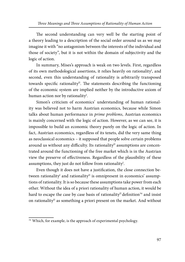The second understanding can very well be the starting point of a theory leading to a description of the social order around us as we may imagine it with "no antagonism between the interests of the individual and those of society", but it is not within the domain of subjectivity and the logic of action.

In summary, Mises's approach is weak on two levels. First, regardless of its own methodological assertions, it relies heavily on rationality<sup>1</sup>, and second, even this understanding of rationality is arbitrarily transposed towards specific rationality<sup>II</sup>. The statements describing the functioning of the economic system are implied neither by the introductive axiom of human action nor by rationality<sup>I</sup>.

Simon's criticism of economics' understanding of human rationality was believed not to harm Austrian economics, because while Simon talks about human performance in prime problems, Austrian economics is mainly concerned with the logic of action. However, as we can see, it is impossible to build an economic theory purely on the logic of action. In fact, Austrian economics, regardless of its tenets, did the very same thing as neoclassical economics – it supposed that people solve certain problems around us without any difficulty. Its rationality<sup>II</sup> assumptions are concentrated around the functioning of the free market which is in the Austrian view the preserve of effectiveness. Regardless of the plausibility of these assumptions, they just do not follow from rationality $^{\mathrm{I}}$ .

Even though it does not have a justification, the close connection between rationality $^{\text{I}}$  and rationality $^{\text{II}}$  is omnipresent in economics' assumptions of rationality. It is so because these assumptions take power from each other. Without the idea of a priori rationality of human action, it would be hard to escape the case by case basis of rationality<sup>II</sup> definition<sup>34</sup> and insist on rationality<sup>II</sup> as something a priori present on the market. And without

<sup>&</sup>lt;sup>34</sup> Which, for example, is the approach of experimental psychology.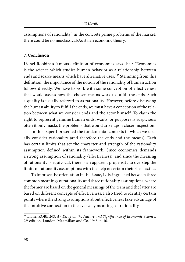assumptions of rationality<sup>II</sup> in the concrete prime problems of the market, there could be no neoclassical/Austrian economic theory.

## **7. Conclusion**

Lionel Robbins's famous definition of economics says that: "Economics is the science which studies human behavior as a relationship between ends and scarce means which have alternative uses."35 Stemming from this definition, the importance of the notion of the rationality of human action follows directly. We have to work with some conception of effectiveness that would assess how the chosen means work to fulfill the ends. Such a quality is usually referred to as rationality. However, before discussing the human ability to fulfill the ends, we must have a conception of the relation between what we consider ends and the actor himself. To claim the right to represent genuine human ends, wants, or purposes is suspicious; often it only masks the problems that would arise upon closer inspection.

In this paper I presented the fundamental contexts in which we usually consider rationality (and therefore the ends and the means). Each has certain limits that set the character and strength of the rationality assumption defined within its framework. Since economics demands a strong assumption of rationality (effectiveness), and since the meaning of rationality is equivocal, there is an apparent propensity to overstep the limits of rationality assumptions with the help of certain rhetorical tactics.

To improve the orientation in this issue, I distinguished between three common meanings of rationality and three rationality assumptions, where the former are based on the general meanings of the term and the latter are based on different concepts of effectiveness. I also tried to identify certain points where the strong assumptions about effectiveness take advantage of the intuitive connection to the everyday meanings of rationality.

<sup>&</sup>lt;sup>35</sup> Lionel ROBBINS, An Essay on the Nature and Significance of Economic Science. 2nd edition. London: Macmillan and Co. 1945, p. 16.